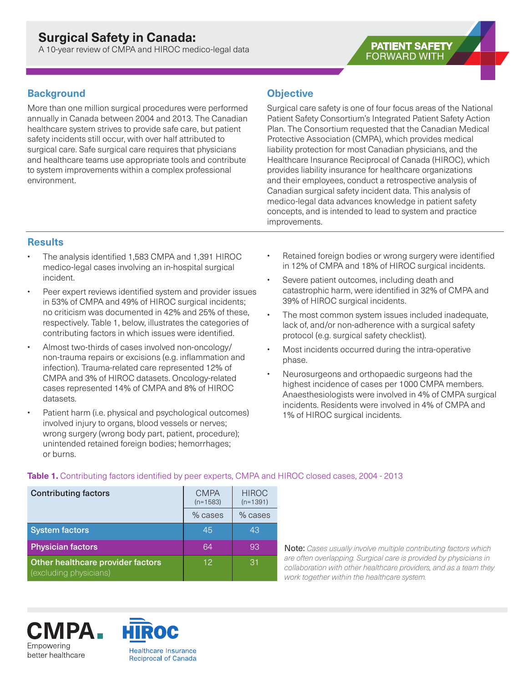A 10-year review of CMPA and HIROC medico-legal data

# **Background**

More than one million surgical procedures were performed annually in Canada between 2004 and 2013. The Canadian healthcare system strives to provide safe care, but patient safety incidents still occur, with over half attributed to surgical care. Safe surgical care requires that physicians and healthcare teams use appropriate tools and contribute to system improvements within a complex professional environment.

# **Objective**

Surgical care safety is one of four focus areas of the National Patient Safety Consortium's Integrated Patient Safety Action Plan. The Consortium requested that the Canadian Medical Protective Association (CMPA), which provides medical liability protection for most Canadian physicians, and the Healthcare Insurance Reciprocal of Canada (HIROC), which provides liability insurance for healthcare organizations and their employees, conduct a retrospective analysis of Canadian surgical safety incident data. This analysis of medico-legal data advances knowledge in patient safety concepts, and is intended to lead to system and practice improvements.

**PATIENT SAFETY FORWARD WITH** 

# **Results**

- The analysis identified 1,583 CMPA and 1,391 HIROC medico-legal cases involving an in-hospital surgical incident.
- Peer expert reviews identified system and provider issues in 53% of CMPA and 49% of HIROC surgical incidents; no criticism was documented in 42% and 25% of these, respectively. Table 1, below, illustrates the categories of contributing factors in which issues were identified.
- Almost two-thirds of cases involved non-oncology/ non-trauma repairs or excisions (e.g. inflammation and infection). Trauma-related care represented 12% of CMPA and 3% of HIROC datasets. Oncology-related cases represented 14% of CMPA and 8% of HIROC datasets.
- Patient harm (i.e. physical and psychological outcomes) involved injury to organs, blood vessels or nerves; wrong surgery (wrong body part, patient, procedure); unintended retained foreign bodies; hemorrhages; or burns.
- Retained foreign bodies or wrong surgery were identified in 12% of CMPA and 18% of HIROC surgical incidents.
- Severe patient outcomes, including death and catastrophic harm, were identified in 32% of CMPA and 39% of HIROC surgical incidents.
- The most common system issues included inadequate, lack of, and/or non-adherence with a surgical safety protocol (e.g. surgical safety checklist).
- Most incidents occurred during the intra-operative phase.
- Neurosurgeons and orthopaedic surgeons had the highest incidence of cases per 1000 CMPA members. Anaesthesiologists were involved in 4% of CMPA surgical incidents. Residents were involved in 4% of CMPA and 1% of HIROC surgical incidents.

| <b>Contributing factors</b>                                 | <b>CMPA</b><br>$(n=1583)$ | <b>HIROC</b><br>$(n=1391)$ |
|-------------------------------------------------------------|---------------------------|----------------------------|
|                                                             | % cases                   | % cases                    |
| <b>System factors</b>                                       | 45                        | 43                         |
| <b>Physician factors</b>                                    | 64                        | 93                         |
| Other healthcare provider factors<br>(excluding physicians) | 12                        | 31                         |

### **Table 1.** Contributing factors identified by peer experts, CMPA and HIROC closed cases, 2004 - 2013

Note: *Cases usually involve multiple contributing factors which are often overlapping. Surgical care is provided by physicians in collaboration with other healthcare providers, and as a team they work together within the healthcare system.*

:MPA\_ Empowering better healthcare